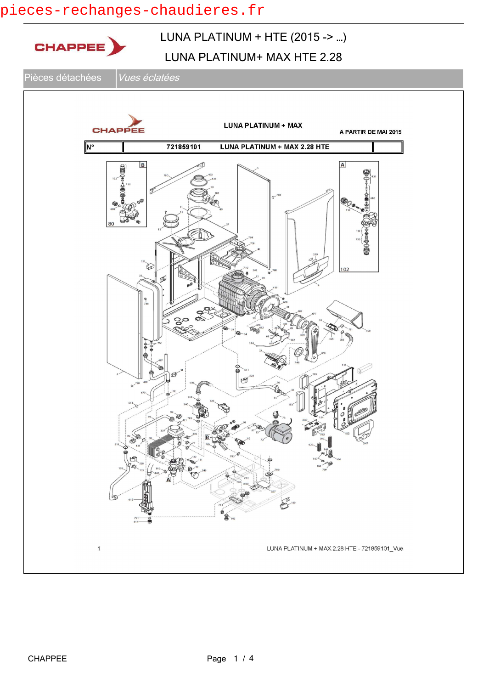### pieces-rechanges-chaudieres.fr

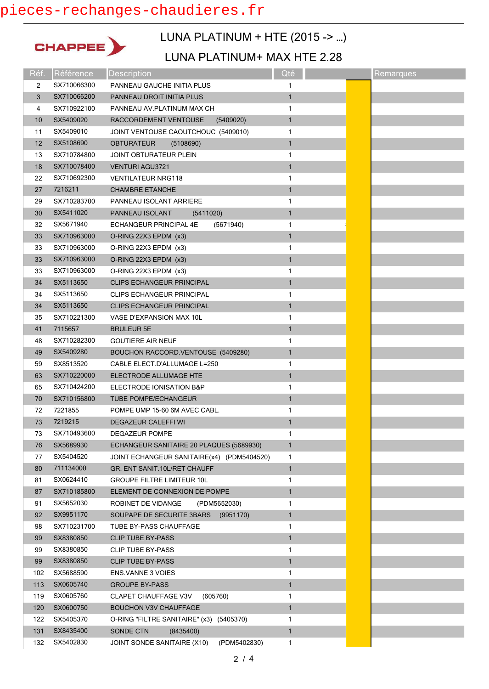## pieces-rechanges-chaudieres.fr



## LUNA PLATINUM + HTE (2015 -> …)

### LUNA PLATINUM+ MAX HTE 2.28

| Réf.           | Référence   | <b>Description</b>                          | Qté          | Remarques |
|----------------|-------------|---------------------------------------------|--------------|-----------|
| $\overline{2}$ | SX710066300 | PANNEAU GAUCHE INITIA PLUS                  | 1            |           |
| 3              | SX710066200 | PANNEAU DROIT INITIA PLUS                   | $\mathbf{1}$ |           |
| 4              | SX710922100 | PANNEAU AV PLATINUM MAX CH                  | 1            |           |
| 10             | SX5409020   | RACCORDEMENT VENTOUSE<br>(5409020)          | $\mathbf{1}$ |           |
| 11             | SX5409010   | JOINT VENTOUSE CAOUTCHOUC (5409010)         | 1            |           |
| 12             | SX5108690   | <b>OBTURATEUR</b><br>(5108690)              | $\mathbf{1}$ |           |
| 13             | SX710784800 | <b>JOINT OBTURATEUR PLEIN</b>               | 1            |           |
| 18             | SX710078400 | <b>VENTURI AGU3721</b>                      | $\mathbf{1}$ |           |
| 22             | SX710692300 | <b>VENTILATEUR NRG118</b>                   | 1            |           |
| 27             | 7216211     | <b>CHAMBRE ETANCHE</b>                      | $\mathbf{1}$ |           |
| 29             | SX710283700 | PANNEAU ISOLANT ARRIERE                     | 1            |           |
| 30             | SX5411020   | PANNEAU ISOLANT<br>(5411020)                | $\mathbf{1}$ |           |
| 32             | SX5671940   | ECHANGEUR PRINCIPAL 4E<br>(5671940)         | 1            |           |
| 33             | SX710963000 | O-RING 22X3 EPDM (x3)                       | $\mathbf{1}$ |           |
| 33             | SX710963000 | O-RING 22X3 EPDM (x3)                       | 1            |           |
| 33             | SX710963000 | O-RING 22X3 EPDM (x3)                       | $\mathbf{1}$ |           |
| 33             | SX710963000 | O-RING 22X3 EPDM (x3)                       | 1            |           |
| 34             | SX5113650   | <b>CLIPS ECHANGEUR PRINCIPAL</b>            | $\mathbf{1}$ |           |
| 34             | SX5113650   | <b>CLIPS ECHANGEUR PRINCIPAL</b>            | 1            |           |
| 34             | SX5113650   | CLIPS ECHANGEUR PRINCIPAL                   | $\mathbf{1}$ |           |
| 35             | SX710221300 | VASE D'EXPANSION MAX 10L                    | 1            |           |
| 41             | 7115657     | <b>BRULEUR 5E</b>                           | $\mathbf{1}$ |           |
| 48             | SX710282300 | <b>GOUTIERE AIR NEUF</b>                    | 1            |           |
| 49             | SX5409280   | BOUCHON RACCORD. VENTOUSE (5409280)         | $\mathbf{1}$ |           |
| 59             | SX8513520   | CABLE ELECT D'ALLUMAGE L=250                | 1            |           |
| 63             | SX710220000 | ELECTRODE ALLUMAGE HTE                      | $\mathbf{1}$ |           |
| 65             | SX710424200 | ELECTRODE IONISATION B&P                    | 1            |           |
| 70             | SX710156800 | <b>TUBE POMPE/ECHANGEUR</b>                 | $\mathbf{1}$ |           |
| 72             | 7221855     | POMPE UMP 15-60 6M AVEC CABL.               | 1            |           |
| 73             | 7219215     | <b>DEGAZEUR CALEFFI WI</b>                  | $\mathbf{1}$ |           |
| 73             | SX710493600 | DEGAZEUR POMPE                              | 1            |           |
| 76             | SX5689930   | ECHANGEUR SANITAIRE 20 PLAQUES (5689930)    | $\mathbf{1}$ |           |
| 77             | SX5404520   | JOINT ECHANGEUR SANITAIRE(x4) (PDM5404520)  | 1            |           |
| 80             | 711134000   | GR. ENT SANIT.10L/RET CHAUFF                | $\mathbf{1}$ |           |
| 81             | SX0624410   | <b>GROUPE FILTRE LIMITEUR 10L</b>           | 1            |           |
| 87             | SX710185800 | ELEMENT DE CONNEXION DE POMPE               | $\mathbf{1}$ |           |
| 91             | SX5652030   | ROBINET DE VIDANGE<br>(PDM5652030)          | 1            |           |
| 92             | SX9951170   | SOUPAPE DE SECURITE 3BARS<br>(9951170)      | 1            |           |
| 98             | SX710231700 | TUBE BY-PASS CHAUFFAGE                      | 1            |           |
| 99             | SX8380850   | <b>CLIP TUBE BY-PASS</b>                    | $\mathbf{1}$ |           |
| 99             | SX8380850   | <b>CLIP TUBE BY-PASS</b>                    | 1            |           |
| 99             | SX8380850   | <b>CLIP TUBE BY-PASS</b>                    | $\mathbf{1}$ |           |
| 102            | SX5688590   | <b>ENS. VANNE 3 VOIES</b>                   | 1            |           |
| 113            | SX0605740   | <b>GROUPE BY-PASS</b>                       | $\mathbf{1}$ |           |
| 119            | SX0605760   | (605760)<br><b>CLAPET CHAUFFAGE V3V</b>     | 1            |           |
| 120            | SX0600750   | BOUCHON V3V CHAUFFAGE                       | $\mathbf{1}$ |           |
| 122            | SX5405370   | O-RING "FILTRE SANITAIRE" (x3) (5405370)    | 1            |           |
| 131            | SX8435400   | SONDE CTN<br>(8435400)                      | $\mathbf{1}$ |           |
| 132            | SX5402830   | JOINT SONDE SANITAIRE (X10)<br>(PDM5402830) | 1            |           |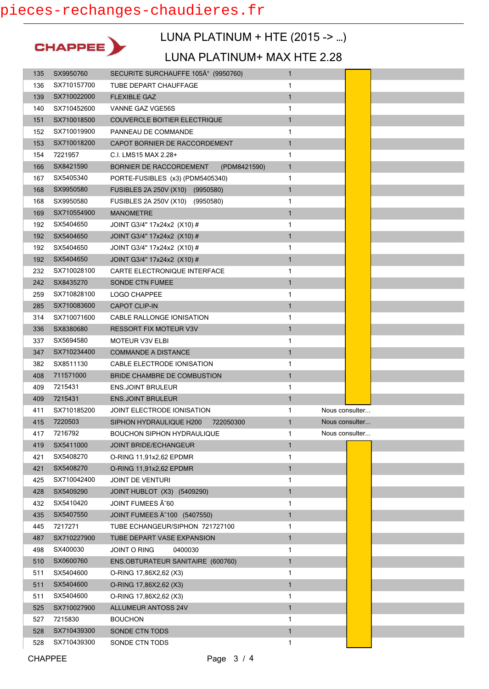

# LUNA PLATINUM + HTE (2015 -> …)

#### LUNA PLATINUM+ MAX HTE 2.28

| 135        | SX9950760                  | SECURITE SURCHAUFFE 105° (9950760)      | $\mathbf{1}$      |                |
|------------|----------------------------|-----------------------------------------|-------------------|----------------|
| 136        | SX710157700                | TUBE DEPART CHAUFFAGE                   | 1                 |                |
| 139        | SX710022000                | <b>FLEXIBLE GAZ</b>                     | $\mathbf{1}$      |                |
| 140        | SX710452600                | VANNE GAZ VGE56S                        | 1                 |                |
| 151        | SX710018500                | COUVERCLE BOITIER ELECTRIQUE            | $\mathbf{1}$      |                |
| 152        | SX710019900                | PANNEAU DE COMMANDE                     | 1                 |                |
| 153        | SX710018200                | CAPOT BORNIER DE RACCORDEMENT           | 1                 |                |
| 154        | 7221957                    | C.I. LMS15 MAX 2.28+                    | 1                 |                |
| 166        | SX8421590                  | BORNIER DE RACCORDEMENT<br>(PDM8421590) | $\mathbf{1}$      |                |
| 167        | SX5405340                  | PORTE-FUSIBLES (x3) (PDM5405340)        | 1                 |                |
| 168        | SX9950580                  | FUSIBLES 2A 250V (X10) (9950580)        | $\mathbf{1}$      |                |
| 168        | SX9950580                  | FUSIBLES 2A 250V (X10) (9950580)        | 1                 |                |
| 169        | SX710554900                | <b>MANOMETRE</b>                        | $\mathbf{1}$      |                |
| 192        | SX5404650                  | JOINT G3/4" 17x24x2 (X10) #             | 1                 |                |
| 192        | SX5404650                  | JOINT G3/4" 17x24x2 (X10) #             | $\mathbf{1}$      |                |
| 192        | SX5404650                  | JOINT G3/4" 17x24x2 (X10) #             | 1                 |                |
| 192        | SX5404650                  | JOINT G3/4" 17x24x2 (X10) #             | $\mathbf{1}$      |                |
| 232        | SX710028100                | CARTE ELECTRONIQUE INTERFACE            | 1                 |                |
| 242        | SX8435270                  | <b>SONDE CTN FUMEE</b>                  | $\mathbf{1}$      |                |
| 259        | SX710828100                | <b>LOGO CHAPPEE</b>                     | 1                 |                |
| 285        | SX710083600                | <b>CAPOT CLIP-IN</b>                    | $\mathbf{1}$      |                |
| 314        | SX710071600                | CABLE RALLONGE IONISATION               | 1                 |                |
| 336        | SX8380680                  | <b>RESSORT FIX MOTEUR V3V</b>           | $\mathbf{1}$      |                |
| 337        | SX5694580                  | <b>MOTEUR V3V ELBI</b>                  | 1                 |                |
| 347        | SX710234400                | <b>COMMANDE A DISTANCE</b>              | $\mathbf{1}$      |                |
| 382        | SX8511130                  | CABLE ELECTRODE IONISATION              | 1                 |                |
| 408        | 711571000                  | BRIDE CHAMBRE DE COMBUSTION             | $\mathbf{1}$      |                |
| 409        | 7215431                    | <b>ENS.JOINT BRULEUR</b>                | 1                 |                |
| 409        | 7215431                    | <b>ENS.JOINT BRULEUR</b>                | $\mathbf{1}$      |                |
| 411        | SX710185200                | JOINT ELECTRODE IONISATION              | 1                 | Nous consulter |
| 415        | 7220503                    | SIPHON HYDRAULIQUE H200<br>722050300    | $\mathbf{1}$      | Nous consulter |
| 417        | 7216792                    | BOUCHON SIPHON HYDRAULIQUE              | 1                 | Nous consulter |
| 419        | SX5411000                  | <b>JOINT BRIDE/ECHANGEUR</b>            | $\mathbf{1}$      |                |
| 421        | SX5408270                  | O-RING 11,91x2,62 EPDMR                 | 1                 |                |
| 421        | SX5408270                  | O-RING 11,91x2,62 EPDMR                 | $\mathbf{1}$      |                |
| 425        | SX710042400                | <b>JOINT DE VENTURI</b>                 | 1                 |                |
| 428        | SX5409290                  | JOINT HUBLOT (X3) (5409290)             | $\mathbf{1}$      |                |
| 432        | SX5410420                  | JOINT FUMEES Ã 60                       | 1                 |                |
| 435        | SX5407550                  | JOINT FUMEES A 100 (5407550)            | $\mathbf{1}$      |                |
| 445        | 7217271                    | TUBE ECHANGEUR/SIPHON 721727100         | 1                 |                |
| 487        | SX710227900                | TUBE DEPART VASE EXPANSION              | $\mathbf{1}$      |                |
| 498        | SX400030                   | JOINT O RING<br>0400030                 | 1                 |                |
| 510        | SX0600760                  | ENS.OBTURATEUR SANITAIRE (600760)       | 1                 |                |
| 511        | SX5404600                  | O-RING 17,86X2,62 (X3)                  | 1                 |                |
| 511        | SX5404600                  | O-RING 17,86X2,62 (X3)                  | $\mathbf{1}$      |                |
| 511        |                            |                                         | 1                 |                |
| 525        |                            |                                         |                   |                |
|            | SX5404600                  | O-RING 17,86X2,62 (X3)                  |                   |                |
|            | SX710027900                | <b>ALLUMEUR ANTOSS 24V</b>              | $\mathbf{1}$      |                |
| 527        | 7215830                    | <b>BOUCHON</b>                          | 1                 |                |
| 528<br>528 | SX710439300<br>SX710439300 | SONDE CTN TODS<br>SONDE CTN TODS        | $\mathbf{1}$<br>1 |                |